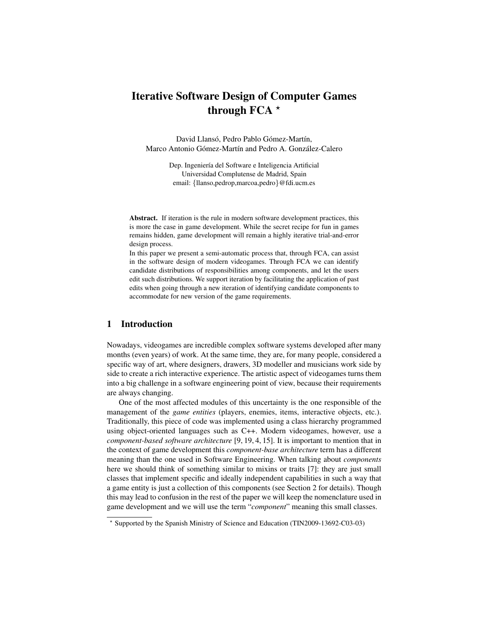# Iterative Software Design of Computer Games through FCA  $*$

David Llansó, Pedro Pablo Gómez-Martín, Marco Antonio Gómez-Martín and Pedro A. González-Calero

> Dep. Ingeniería del Software e Inteligencia Artificial Universidad Complutense de Madrid, Spain email: {llanso,pedrop,marcoa,pedro}@fdi.ucm.es

Abstract. If iteration is the rule in modern software development practices, this is more the case in game development. While the secret recipe for fun in games remains hidden, game development will remain a highly iterative trial-and-error design process.

In this paper we present a semi-automatic process that, through FCA, can assist in the software design of modern videogames. Through FCA we can identify candidate distributions of responsibilities among components, and let the users edit such distributions. We support iteration by facilitating the application of past edits when going through a new iteration of identifying candidate components to accommodate for new version of the game requirements.

### 1 Introduction

Nowadays, videogames are incredible complex software systems developed after many months (even years) of work. At the same time, they are, for many people, considered a specific way of art, where designers, drawers, 3D modeller and musicians work side by side to create a rich interactive experience. The artistic aspect of videogames turns them into a big challenge in a software engineering point of view, because their requirements are always changing.

One of the most affected modules of this uncertainty is the one responsible of the management of the *game entities* (players, enemies, items, interactive objects, etc.). Traditionally, this piece of code was implemented using a class hierarchy programmed using object-oriented languages such as C++. Modern videogames, however, use a *component-based software architecture* [9, 19, 4, 15]. It is important to mention that in the context of game development this *component-base architecture* term has a different meaning than the one used in Software Engineering. When talking about *components* here we should think of something similar to mixins or traits [7]: they are just small classes that implement specific and ideally independent capabilities in such a way that a game entity is just a collection of this components (see Section 2 for details). Though this may lead to confusion in the rest of the paper we will keep the nomenclature used in game development and we will use the term "*component*" meaning this small classes.

<sup>?</sup> Supported by the Spanish Ministry of Science and Education (TIN2009-13692-C03-03)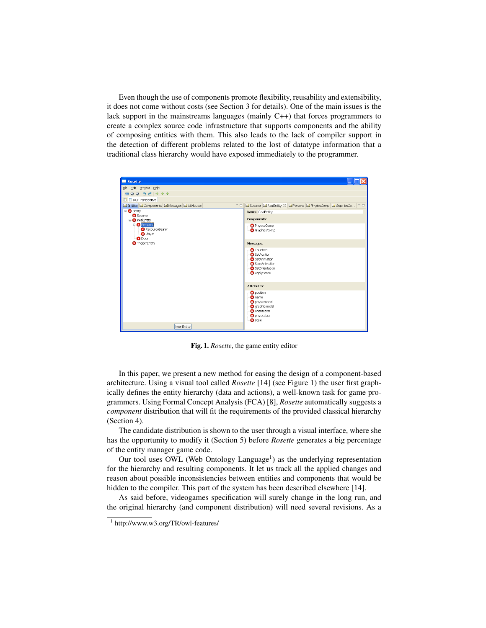Even though the use of components promote flexibility, reusability and extensibility, it does not come without costs (see Section 3 for details). One of the main issues is the lack support in the mainstreams languages (mainly C++) that forces programmers to create a complex source code infrastructure that supports components and the ability of composing entities with them. This also leads to the lack of compiler support in the detection of different problems related to the lost of datatype information that a traditional class hierarchy would have exposed immediately to the programmer.



Fig. 1. *Rosette*, the game entity editor

In this paper, we present a new method for easing the design of a component-based architecture. Using a visual tool called *Rosette* [14] (see Figure 1) the user first graphically defines the entity hierarchy (data and actions), a well-known task for game programmers. Using Formal Concept Analysis (FCA) [8], *Rosette* automatically suggests a *component* distribution that will fit the requirements of the provided classical hierarchy (Section 4).

The candidate distribution is shown to the user through a visual interface, where she has the opportunity to modify it (Section 5) before *Rosette* generates a big percentage of the entity manager game code.

Our tool uses OWL (Web Ontology Language<sup>1</sup>) as the underlying representation for the hierarchy and resulting components. It let us track all the applied changes and reason about possible inconsistencies between entities and components that would be hidden to the compiler. This part of the system has been described elsewhere [14].

As said before, videogames specification will surely change in the long run, and the original hierarchy (and component distribution) will need several revisions. As a

<sup>1</sup> http://www.w3.org/TR/owl-features/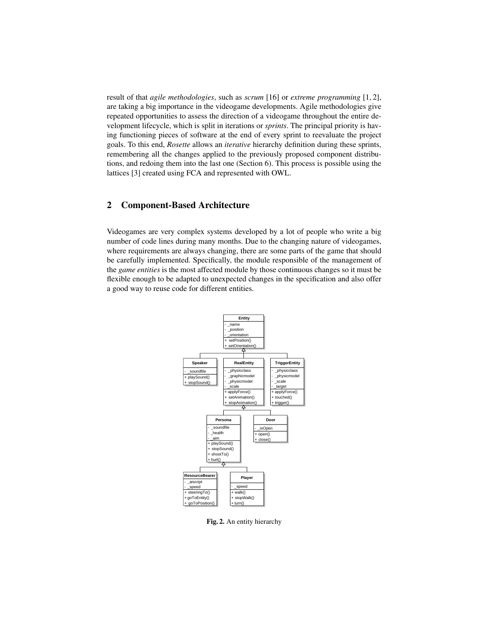result of that *agile methodologies*, such as *scrum* [16] or *extreme programming* [1, 2], are taking a big importance in the videogame developments. Agile methodologies give repeated opportunities to assess the direction of a videogame throughout the entire development lifecycle, which is split in iterations or *sprints*. The principal priority is having functioning pieces of software at the end of every sprint to reevaluate the project goals. To this end, *Rosette* allows an *iterative* hierarchy definition during these sprints, remembering all the changes applied to the previously proposed component distributions, and redoing them into the last one (Section 6). This process is possible using the lattices [3] created using FCA and represented with OWL.

# 2 Component-Based Architecture

Videogames are very complex systems developed by a lot of people who write a big number of code lines during many months. Due to the changing nature of videogames, where requirements are always changing, there are some parts of the game that should be carefully implemented. Specifically, the module responsible of the management of the *game entities* is the most affected module by those continuous changes so it must be flexible enough to be adapted to unexpected changes in the specification and also offer a good way to reuse code for different entities.



Fig. 2. An entity hierarchy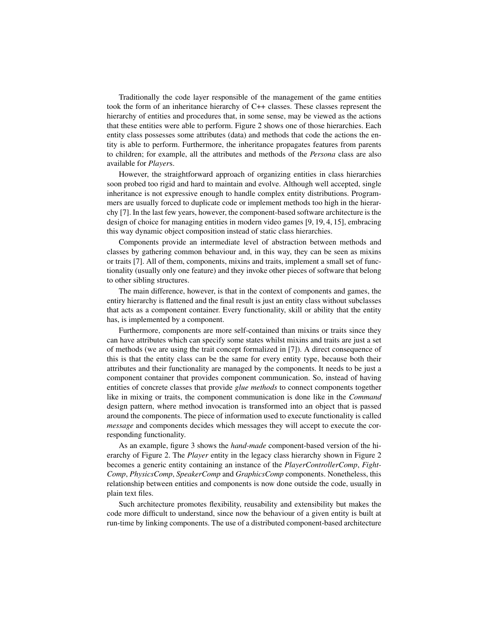Traditionally the code layer responsible of the management of the game entities took the form of an inheritance hierarchy of C++ classes. These classes represent the hierarchy of entities and procedures that, in some sense, may be viewed as the actions that these entities were able to perform. Figure 2 shows one of those hierarchies. Each entity class possesses some attributes (data) and methods that code the actions the entity is able to perform. Furthermore, the inheritance propagates features from parents to children; for example, all the attributes and methods of the *Persona* class are also available for *Player*s.

However, the straightforward approach of organizing entities in class hierarchies soon probed too rigid and hard to maintain and evolve. Although well accepted, single inheritance is not expressive enough to handle complex entity distributions. Programmers are usually forced to duplicate code or implement methods too high in the hierarchy [7]. In the last few years, however, the component-based software architecture is the design of choice for managing entities in modern video games [9, 19, 4, 15], embracing this way dynamic object composition instead of static class hierarchies.

Components provide an intermediate level of abstraction between methods and classes by gathering common behaviour and, in this way, they can be seen as mixins or traits [7]. All of them, components, mixins and traits, implement a small set of functionality (usually only one feature) and they invoke other pieces of software that belong to other sibling structures.

The main difference, however, is that in the context of components and games, the entiry hierarchy is flattened and the final result is just an entity class without subclasses that acts as a component container. Every functionality, skill or ability that the entity has, is implemented by a component.

Furthermore, components are more self-contained than mixins or traits since they can have attributes which can specify some states whilst mixins and traits are just a set of methods (we are using the trait concept formalized in [7]). A direct consequence of this is that the entity class can be the same for every entity type, because both their attributes and their functionality are managed by the components. It needs to be just a component container that provides component communication. So, instead of having entities of concrete classes that provide *glue methods* to connect components together like in mixing or traits, the component communication is done like in the *Command* design pattern, where method invocation is transformed into an object that is passed around the components. The piece of information used to execute functionality is called *message* and components decides which messages they will accept to execute the corresponding functionality.

As an example, figure 3 shows the *hand-made* component-based version of the hierarchy of Figure 2. The *Player* entity in the legacy class hierarchy shown in Figure 2 becomes a generic entity containing an instance of the *PlayerControllerComp*, *Fight-Comp*, *PhysicsComp*, *SpeakerComp* and *GraphicsComp* components. Nonetheless, this relationship between entities and components is now done outside the code, usually in plain text files.

Such architecture promotes flexibility, reusability and extensibility but makes the code more difficult to understand, since now the behaviour of a given entity is built at run-time by linking components. The use of a distributed component-based architecture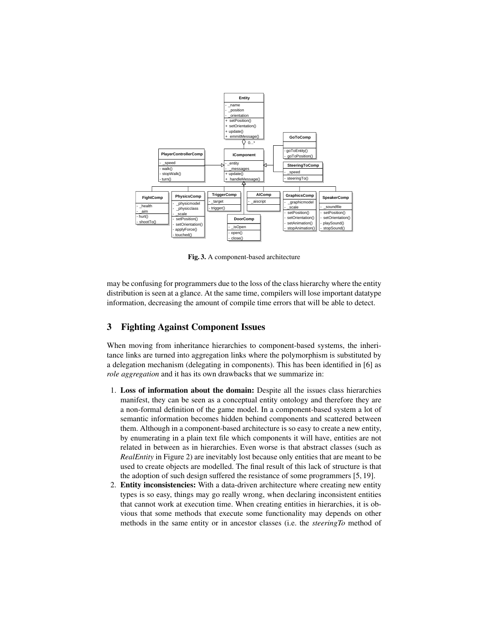

Fig. 3. A component-based architecture

may be confusing for programmers due to the loss of the class hierarchy where the entity distribution is seen at a glance. At the same time, compilers will lose important datatype information, decreasing the amount of compile time errors that will be able to detect.

# 3 Fighting Against Component Issues

When moving from inheritance hierarchies to component-based systems, the inheritance links are turned into aggregation links where the polymorphism is substituted by a delegation mechanism (delegating in components). This has been identified in [6] as *role aggregation* and it has its own drawbacks that we summarize in:

- 1. Loss of information about the domain: Despite all the issues class hierarchies manifest, they can be seen as a conceptual entity ontology and therefore they are a non-formal definition of the game model. In a component-based system a lot of semantic information becomes hidden behind components and scattered between them. Although in a component-based architecture is so easy to create a new entity, by enumerating in a plain text file which components it will have, entities are not related in between as in hierarchies. Even worse is that abstract classes (such as *RealEntity* in Figure 2) are inevitably lost because only entities that are meant to be used to create objects are modelled. The final result of this lack of structure is that the adoption of such design suffered the resistance of some programmers [5, 19].
- 2. Entity inconsistencies: With a data-driven architecture where creating new entity types is so easy, things may go really wrong, when declaring inconsistent entities that cannot work at execution time. When creating entities in hierarchies, it is obvious that some methods that execute some functionality may depends on other methods in the same entity or in ancestor classes (i.e. the *steeringTo* method of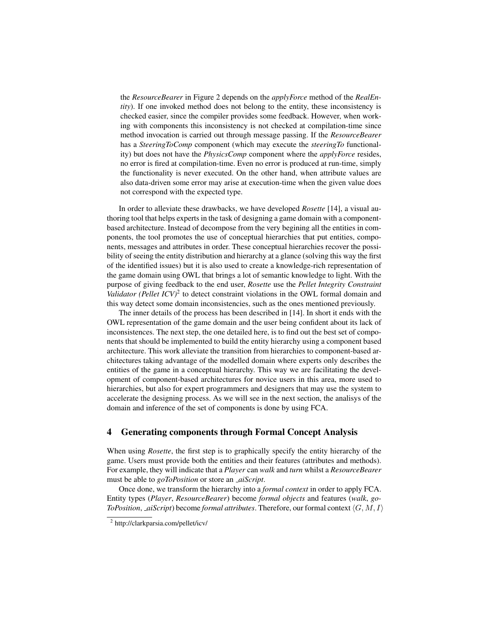the *ResourceBearer* in Figure 2 depends on the *applyForce* method of the *RealEntity*). If one invoked method does not belong to the entity, these inconsistency is checked easier, since the compiler provides some feedback. However, when working with components this inconsistency is not checked at compilation-time since method invocation is carried out through message passing. If the *ResourceBearer* has a *SteeringToComp* component (which may execute the *steeringTo* functionality) but does not have the *PhysicsComp* component where the *applyForce* resides, no error is fired at compilation-time. Even no error is produced at run-time, simply the functionality is never executed. On the other hand, when attribute values are also data-driven some error may arise at execution-time when the given value does not correspond with the expected type.

In order to alleviate these drawbacks, we have developed *Rosette* [14], a visual authoring tool that helps experts in the task of designing a game domain with a componentbased architecture. Instead of decompose from the very begining all the entities in components, the tool promotes the use of conceptual hierarchies that put entities, components, messages and attributes in order. These conceptual hierarchies recover the possibility of seeing the entity distribution and hierarchy at a glance (solving this way the first of the identified issues) but it is also used to create a knowledge-rich representation of the game domain using OWL that brings a lot of semantic knowledge to light. With the purpose of giving feedback to the end user, *Rosette* use the *Pellet Integrity Constraint* Validator (Pellet ICV)<sup>2</sup> to detect constraint violations in the OWL formal domain and this way detect some domain inconsistencies, such as the ones mentioned previously.

The inner details of the process has been described in [14]. In short it ends with the OWL representation of the game domain and the user being confident about its lack of inconsistences. The next step, the one detailed here, is to find out the best set of components that should be implemented to build the entity hierarchy using a component based architecture. This work alleviate the transition from hierarchies to component-based architectures taking advantage of the modelled domain where experts only describes the entities of the game in a conceptual hierarchy. This way we are facilitating the development of component-based architectures for novice users in this area, more used to hierarchies, but also for expert programmers and designers that may use the system to accelerate the designing process. As we will see in the next section, the analisys of the domain and inference of the set of components is done by using FCA.

# 4 Generating components through Formal Concept Analysis

When using *Rosette*, the first step is to graphically specify the entity hierarchy of the game. Users must provide both the entities and their features (attributes and methods). For example, they will indicate that a *Player* can *walk* and *turn* whilst a *ResourceBearer* must be able to *goToPosition* or store an *aiScript*.

Once done, we transform the hierarchy into a *formal context* in order to apply FCA. Entity types (*Player*, *ResourceBearer*) become *formal objects* and features (*walk*, *go-ToPosition, \_aiScript*) become *formal attributes*. Therefore, our formal context  $\langle G, M, I \rangle$ 

<sup>2</sup> http://clarkparsia.com/pellet/icv/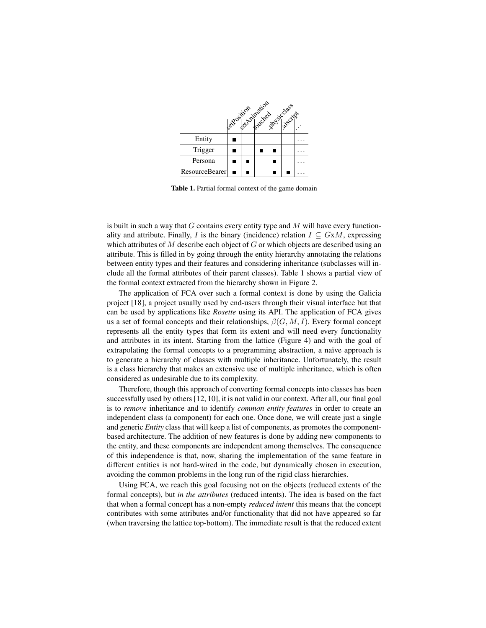

Table 1. Partial formal context of the game domain

is built in such a way that  $G$  contains every entity type and  $M$  will have every functionality and attribute. Finally, I is the binary (incidence) relation  $I \subseteq GxM$ , expressing which attributes of  $M$  describe each object of  $G$  or which objects are described using an attribute. This is filled in by going through the entity hierarchy annotating the relations between entity types and their features and considering inheritance (subclasses will include all the formal attributes of their parent classes). Table 1 shows a partial view of the formal context extracted from the hierarchy shown in Figure 2.

The application of FCA over such a formal context is done by using the Galicia project [18], a project usually used by end-users through their visual interface but that can be used by applications like *Rosette* using its API. The application of FCA gives us a set of formal concepts and their relationships,  $\beta(G, M, I)$ . Every formal concept represents all the entity types that form its extent and will need every functionality and attributes in its intent. Starting from the lattice (Figure 4) and with the goal of extrapolating the formal concepts to a programming abstraction, a naïve approach is to generate a hierarchy of classes with multiple inheritance. Unfortunately, the result is a class hierarchy that makes an extensive use of multiple inheritance, which is often considered as undesirable due to its complexity.

Therefore, though this approach of converting formal concepts into classes has been successfully used by others [12, 10], it is not valid in our context. After all, our final goal is to *remove* inheritance and to identify *common entity features* in order to create an independent class (a component) for each one. Once done, we will create just a single and generic *Entity* class that will keep a list of components, as promotes the componentbased architecture. The addition of new features is done by adding new components to the entity, and these components are independent among themselves. The consequence of this independence is that, now, sharing the implementation of the same feature in different entities is not hard-wired in the code, but dynamically chosen in execution, avoiding the common problems in the long run of the rigid class hierarchies.

Using FCA, we reach this goal focusing not on the objects (reduced extents of the formal concepts), but *in the attributes* (reduced intents). The idea is based on the fact that when a formal concept has a non-empty *reduced intent* this means that the concept contributes with some attributes and/or functionality that did not have appeared so far (when traversing the lattice top-bottom). The immediate result is that the reduced extent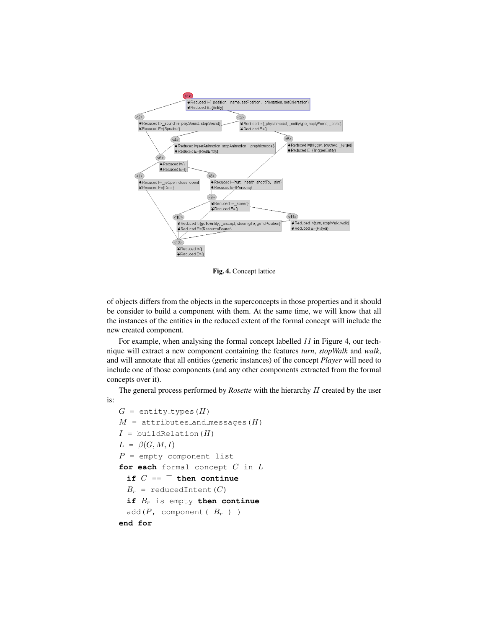

Fig. 4. Concept lattice

of objects differs from the objects in the superconcepts in those properties and it should be consider to build a component with them. At the same time, we will know that all the instances of the entities in the reduced extent of the formal concept will include the new created component.

For example, when analysing the formal concept labelled *11* in Figure 4, our technique will extract a new component containing the features *turn*, *stopWalk* and *walk*, and will annotate that all entities (generic instances) of the concept *Player* will need to include one of those components (and any other components extracted from the formal concepts over it).

The general process performed by *Rosette* with the hierarchy H created by the user is:

```
G = entity_types(H)
M = attributes_and_messages(H)
I = buildRelation(H)
L = \beta(G, M, I)P = empty component list
for each formal concept C in L
 if C = \top then continue
 B_r = reducedIntent(C)
 if Br is empty then continue
 add(P, component(B_r))
end for
```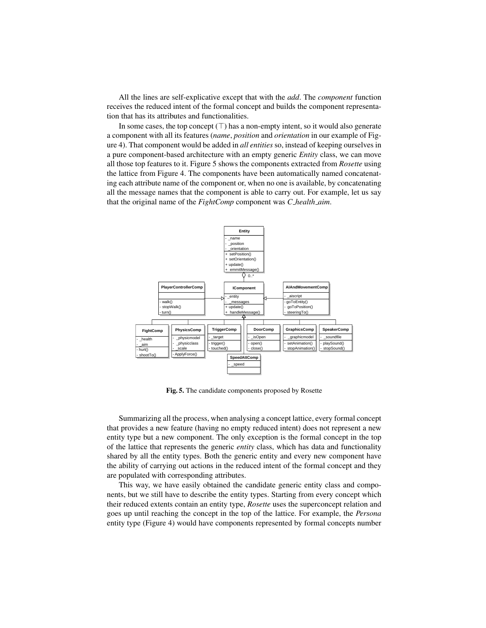All the lines are self-explicative except that with the *add*. The *component* function receives the reduced intent of the formal concept and builds the component representation that has its attributes and functionalities.

In some cases, the top concept  $(\top)$  has a non-empty intent, so it would also generate a component with all its features (*name*, *position* and *orientation* in our example of Figure 4). That component would be added in *all entities* so, instead of keeping ourselves in a pure component-based architecture with an empty generic *Entity* class, we can move all those top features to it. Figure 5 shows the components extracted from *Rosette* using the lattice from Figure 4. The components have been automatically named concatenating each attribute name of the component or, when no one is available, by concatenating all the message names that the component is able to carry out. For example, let us say that the original name of the *FightComp* component was *C health aim*.



Fig. 5. The candidate components proposed by Rosette

Summarizing all the process, when analysing a concept lattice, every formal concept that provides a new feature (having no empty reduced intent) does not represent a new entity type but a new component. The only exception is the formal concept in the top of the lattice that represents the generic *entity* class, which has data and functionality shared by all the entity types. Both the generic entity and every new component have the ability of carrying out actions in the reduced intent of the formal concept and they are populated with corresponding attributes.

This way, we have easily obtained the candidate generic entity class and components, but we still have to describe the entity types. Starting from every concept which their reduced extents contain an entity type, *Rosette* uses the superconcept relation and goes up until reaching the concept in the top of the lattice. For example, the *Persona* entity type (Figure 4) would have components represented by formal concepts number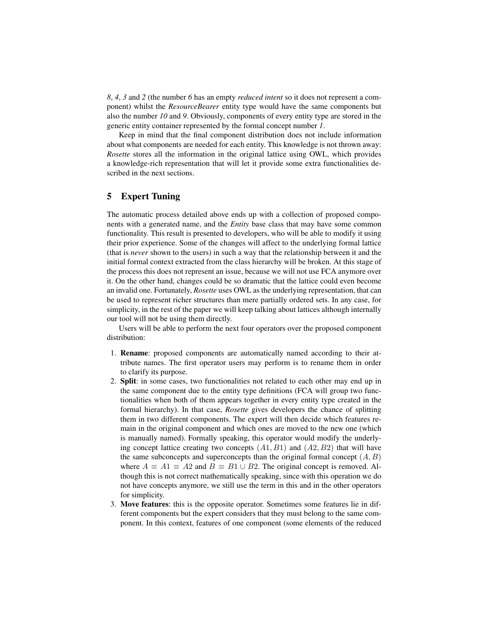*8*, *4*, *3* and *2* (the number *6* has an empty *reduced intent* so it does not represent a component) whilst the *ResourceBearer* entity type would have the same components but also the number *10* and *9*. Obviously, components of every entity type are stored in the generic entity container represented by the formal concept number *1*.

Keep in mind that the final component distribution does not include information about what components are needed for each entity. This knowledge is not thrown away: *Rosette* stores all the information in the original lattice using OWL, which provides a knowledge-rich representation that will let it provide some extra functionalities described in the next sections.

# 5 Expert Tuning

The automatic process detailed above ends up with a collection of proposed components with a generated name, and the *Entity* base class that may have some common functionality. This result is presented to developers, who will be able to modify it using their prior experience. Some of the changes will affect to the underlying formal lattice (that is *never* shown to the users) in such a way that the relationship between it and the initial formal context extracted from the class hierarchy will be broken. At this stage of the process this does not represent an issue, because we will not use FCA anymore over it. On the other hand, changes could be so dramatic that the lattice could even become an invalid one. Fortunately, *Rosette* uses OWL as the underlying representation, that can be used to represent richer structures than mere partially ordered sets. In any case, for simplicity, in the rest of the paper we will keep talking about lattices although internally our tool will not be using them directly.

Users will be able to perform the next four operators over the proposed component distribution:

- 1. Rename: proposed components are automatically named according to their attribute names. The first operator users may perform is to rename them in order to clarify its purpose.
- 2. Split: in some cases, two functionalities not related to each other may end up in the same component due to the entity type definitions (FCA will group two functionalities when both of them appears together in every entity type created in the formal hierarchy). In that case, *Rosette* gives developers the chance of splitting them in two different components. The expert will then decide which features remain in the original component and which ones are moved to the new one (which is manually named). Formally speaking, this operator would modify the underlying concept lattice creating two concepts  $(A1, B1)$  and  $(A2, B2)$  that will have the same subconcepts and superconcepts than the original formal concept  $(A, B)$ where  $A \equiv A1 \equiv A2$  and  $B \equiv B1 \cup B2$ . The original concept is removed. Although this is not correct mathematically speaking, since with this operation we do not have concepts anymore, we still use the term in this and in the other operators for simplicity.
- 3. Move features: this is the opposite operator. Sometimes some features lie in different components but the expert considers that they must belong to the same component. In this context, features of one component (some elements of the reduced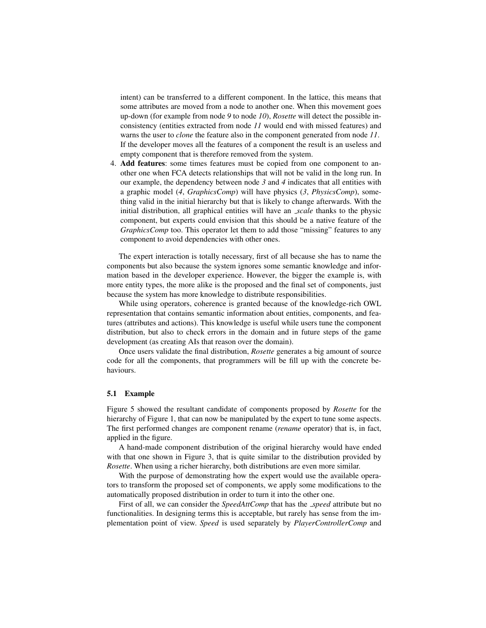intent) can be transferred to a different component. In the lattice, this means that some attributes are moved from a node to another one. When this movement goes up-down (for example from node *9* to node *10*), *Rosette* will detect the possible inconsistency (entities extracted from node *11* would end with missed features) and warns the user to *clone* the feature also in the component generated from node *11*. If the developer moves all the features of a component the result is an useless and empty component that is therefore removed from the system.

4. Add features: some times features must be copied from one component to another one when FCA detects relationships that will not be valid in the long run. In our example, the dependency between node *3* and *4* indicates that all entities with a graphic model (*4*, *GraphicsComp*) will have physics (*3*, *PhysicsComp*), something valid in the initial hierarchy but that is likely to change afterwards. With the initial distribution, all graphical entities will have an *scale* thanks to the physic component, but experts could envision that this should be a native feature of the *GraphicsComp* too. This operator let them to add those "missing" features to any component to avoid dependencies with other ones.

The expert interaction is totally necessary, first of all because she has to name the components but also because the system ignores some semantic knowledge and information based in the developer experience. However, the bigger the example is, with more entity types, the more alike is the proposed and the final set of components, just because the system has more knowledge to distribute responsibilities.

While using operators, coherence is granted because of the knowledge-rich OWL representation that contains semantic information about entities, components, and features (attributes and actions). This knowledge is useful while users tune the component distribution, but also to check errors in the domain and in future steps of the game development (as creating AIs that reason over the domain).

Once users validate the final distribution, *Rosette* generates a big amount of source code for all the components, that programmers will be fill up with the concrete behaviours.

#### 5.1 Example

Figure 5 showed the resultant candidate of components proposed by *Rosette* for the hierarchy of Figure 1, that can now be manipulated by the expert to tune some aspects. The first performed changes are component rename (*rename* operator) that is, in fact, applied in the figure.

A hand-made component distribution of the original hierarchy would have ended with that one shown in Figure 3, that is quite similar to the distribution provided by *Rosette*. When using a richer hierarchy, both distributions are even more similar.

With the purpose of demonstrating how the expert would use the available operators to transform the proposed set of components, we apply some modifications to the automatically proposed distribution in order to turn it into the other one.

First of all, we can consider the *SpeedAttComp* that has the *speed* attribute but no functionalities. In designing terms this is acceptable, but rarely has sense from the implementation point of view. *Speed* is used separately by *PlayerControllerComp* and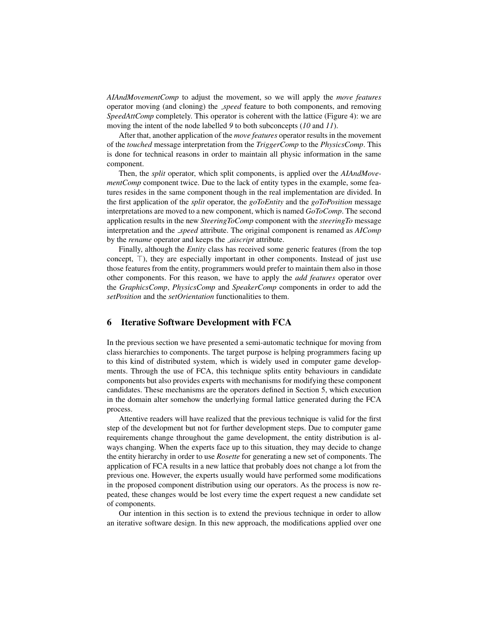*AIAndMovementComp* to adjust the movement, so we will apply the *move features* operator moving (and cloning) the *speed* feature to both components, and removing *SpeedAttComp* completely. This operator is coherent with the lattice (Figure 4): we are moving the intent of the node labelled *9* to both subconcepts (*10* and *11*).

After that, another application of the *move features* operator results in the movement of the *touched* message interpretation from the *TriggerComp* to the *PhysicsComp*. This is done for technical reasons in order to maintain all physic information in the same component.

Then, the *split* operator, which split components, is applied over the *AIAndMovementComp* component twice. Due to the lack of entity types in the example, some features resides in the same component though in the real implementation are divided. In the first application of the *split* operator, the *goToEntity* and the *goToPosition* message interpretations are moved to a new component, which is named *GoToComp*. The second application results in the new *SteeringToComp* component with the *steeringTo* message interpretation and the *speed* attribute. The original component is renamed as *AIComp* by the *rename* operator and keeps the *aiscript* attribute.

Finally, although the *Entity* class has received some generic features (from the top concept,  $\top$ ), they are especially important in other components. Instead of just use those features from the entity, programmers would prefer to maintain them also in those other components. For this reason, we have to apply the *add features* operator over the *GraphicsComp*, *PhysicsComp* and *SpeakerComp* components in order to add the *setPosition* and the *setOrientation* functionalities to them.

## 6 Iterative Software Development with FCA

In the previous section we have presented a semi-automatic technique for moving from class hierarchies to components. The target purpose is helping programmers facing up to this kind of distributed system, which is widely used in computer game developments. Through the use of FCA, this technique splits entity behaviours in candidate components but also provides experts with mechanisms for modifying these component candidates. These mechanisms are the operators defined in Section 5, which execution in the domain alter somehow the underlying formal lattice generated during the FCA process.

Attentive readers will have realized that the previous technique is valid for the first step of the development but not for further development steps. Due to computer game requirements change throughout the game development, the entity distribution is always changing. When the experts face up to this situation, they may decide to change the entity hierarchy in order to use *Rosette* for generating a new set of components. The application of FCA results in a new lattice that probably does not change a lot from the previous one. However, the experts usually would have performed some modifications in the proposed component distribution using our operators. As the process is now repeated, these changes would be lost every time the expert request a new candidate set of components.

Our intention in this section is to extend the previous technique in order to allow an iterative software design. In this new approach, the modifications applied over one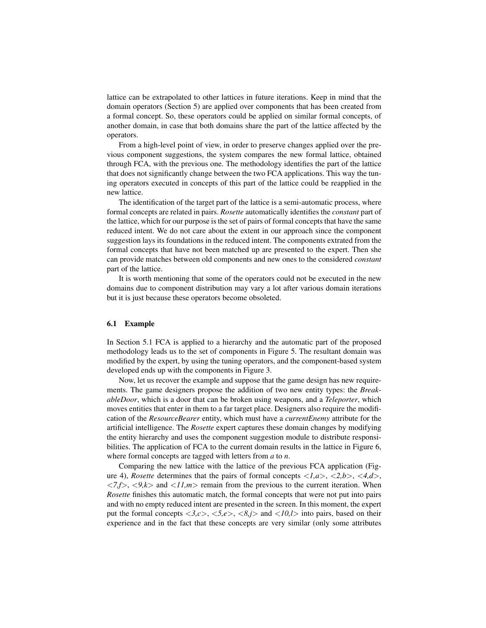lattice can be extrapolated to other lattices in future iterations. Keep in mind that the domain operators (Section 5) are applied over components that has been created from a formal concept. So, these operators could be applied on similar formal concepts, of another domain, in case that both domains share the part of the lattice affected by the operators.

From a high-level point of view, in order to preserve changes applied over the previous component suggestions, the system compares the new formal lattice, obtained through FCA, with the previous one. The methodology identifies the part of the lattice that does not significantly change between the two FCA applications. This way the tuning operators executed in concepts of this part of the lattice could be reapplied in the new lattice.

The identification of the target part of the lattice is a semi-automatic process, where formal concepts are related in pairs. *Rosette* automatically identifies the *constant* part of the lattice, which for our purpose is the set of pairs of formal concepts that have the same reduced intent. We do not care about the extent in our approach since the component suggestion lays its foundations in the reduced intent. The components extrated from the formal concepts that have not been matched up are presented to the expert. Then she can provide matches between old components and new ones to the considered *constant* part of the lattice.

It is worth mentioning that some of the operators could not be executed in the new domains due to component distribution may vary a lot after various domain iterations but it is just because these operators become obsoleted.

#### 6.1 Example

In Section 5.1 FCA is applied to a hierarchy and the automatic part of the proposed methodology leads us to the set of components in Figure 5. The resultant domain was modified by the expert, by using the tuning operators, and the component-based system developed ends up with the components in Figure 3.

Now, let us recover the example and suppose that the game design has new requirements. The game designers propose the addition of two new entity types: the *BreakableDoor*, which is a door that can be broken using weapons, and a *Teleporter*, which moves entities that enter in them to a far target place. Designers also require the modification of the *ResourceBearer* entity, which must have a *currentEnemy* attribute for the artificial intelligence. The *Rosette* expert captures these domain changes by modifying the entity hierarchy and uses the component suggestion module to distribute responsibilities. The application of FCA to the current domain results in the lattice in Figure 6, where formal concepts are tagged with letters from *a* to *n*.

Comparing the new lattice with the lattice of the previous FCA application (Figure 4), *Rosette* determines that the pairs of formal concepts  $\langle 1, a \rangle$ ,  $\langle 2, b \rangle$ ,  $\langle 4, d \rangle$ ,  $\langle 7, f \rangle$ ,  $\langle 9, k \rangle$  and  $\langle 11, m \rangle$  remain from the previous to the current iteration. When *Rosette* finishes this automatic match, the formal concepts that were not put into pairs and with no empty reduced intent are presented in the screen. In this moment, the expert put the formal concepts <*3,c*>, <*5,e*>, <*8,j*> and <*10,l*> into pairs, based on their experience and in the fact that these concepts are very similar (only some attributes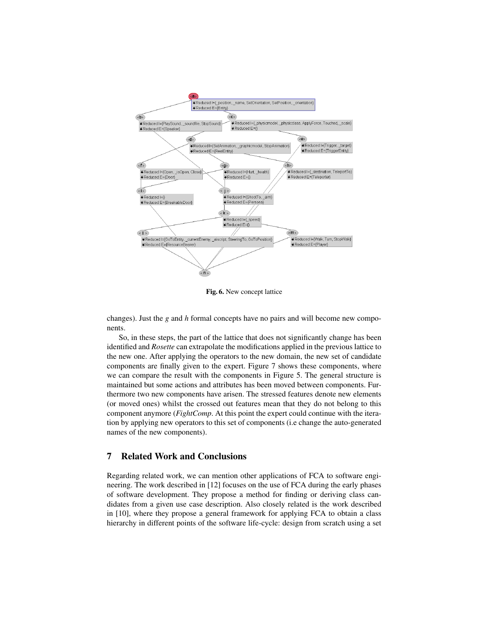

Fig. 6. New concept lattice

changes). Just the *g* and *h* formal concepts have no pairs and will become new components.

So, in these steps, the part of the lattice that does not significantly change has been identified and *Rosette* can extrapolate the modifications applied in the previous lattice to the new one. After applying the operators to the new domain, the new set of candidate components are finally given to the expert. Figure 7 shows these components, where we can compare the result with the components in Figure 5. The general structure is maintained but some actions and attributes has been moved between components. Furthermore two new components have arisen. The stressed features denote new elements (or moved ones) whilst the crossed out features mean that they do not belong to this component anymore (*FightComp*. At this point the expert could continue with the iteration by applying new operators to this set of components (i.e change the auto-generated names of the new components).

### 7 Related Work and Conclusions

Regarding related work, we can mention other applications of FCA to software engineering. The work described in [12] focuses on the use of FCA during the early phases of software development. They propose a method for finding or deriving class candidates from a given use case description. Also closely related is the work described in [10], where they propose a general framework for applying FCA to obtain a class hierarchy in different points of the software life-cycle: design from scratch using a set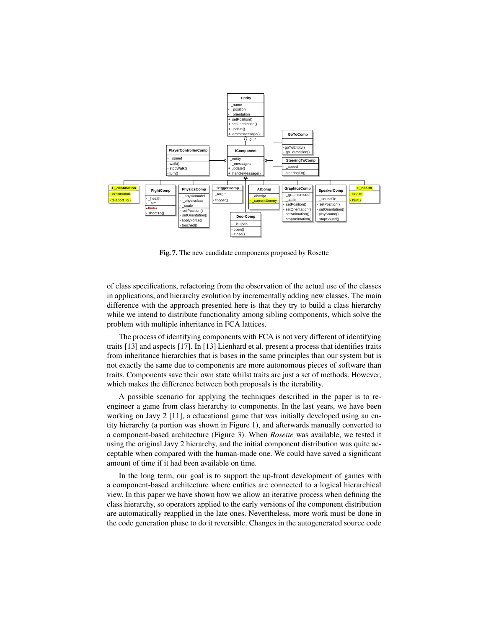

Fig. 7. The new candidate components proposed by Rosette

of class specifications, refactoring from the observation of the actual use of the classes in applications, and hierarchy evolution by incrementally adding new classes. The main difference with the approach presented here is that they try to build a class hierarchy while we intend to distribute functionality among sibling components, which solve the problem with multiple inheritance in FCA lattices.

The process of identifying components with FCA is not very different of identifying traits [13] and aspects [17]. In [13] Lienhard et al. present a process that identifies traits from inheritance hierarchies that is bases in the same principles than our system but is not exactly the same due to components are more autonomous pieces of software than traits. Components save their own state whilst traits are just a set of methods. However, which makes the difference between both proposals is the iterability.

A possible scenario for applying the techniques described in the paper is to reengineer a game from class hierarchy to components. In the last years, we have been working on Javy 2 [11], a educational game that was initially developed using an entity hierarchy (a portion was shown in Figure 1), and afterwards manually converted to a component-based architecture (Figure 3). When *Rosette* was available, we tested it using the original Javy 2 hierarchy, and the initial component distribution was quite acceptable when compared with the human-made one. We could have saved a significant amount of time if it had been available on time.

In the long term, our goal is to support the up-front development of games with a component-based architecture where entities are connected to a logical hierarchical view. In this paper we have shown how we allow an iterative process when defining the class hierarchy, so operators applied to the early versions of the component distribution are automatically reapplied in the late ones. Nevertheless, more work must be done in the code generation phase to do it reversible. Changes in the autogenerated source code